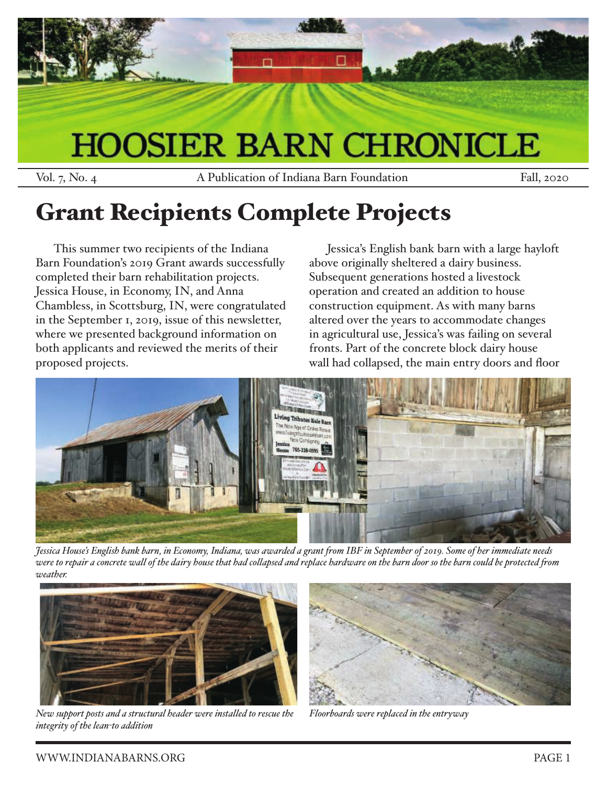

Vol. 7, No. 4 **A Publication of Indiana Barn Foundation** Fall, 2020

# Grant Recipients Complete Projects

This summer two recipients of the Indiana Barn Foundation's 2019 Grant awards successfully completed their barn rehabilitation projects. Jessica House, in Economy, IN, and Anna Chambless, in Scottsburg, IN, were congratulated in the September 1, 2019, issue of this newsletter, where we presented background information on both applicants and reviewed the merits of their proposed projects.

Jessica's English bank barn with a large hayloft above originally sheltered a dairy business. Subsequent generations hosted a livestock operation and created an addition to house construction equipment. As with many barns altered over the years to accommodate changes in agricultural use, Jessica's was failing on several fronts. Part of the concrete block dairy house wall had collapsed, the main entry doors and floor



*Jessica House's English bank barn, in Economy, Indiana, was awarded a grant from IBF in September of 2019. Some of her immediate needs were to repair a concrete wall of the dairy house that had collapsed and replace hardware on the barn door so the barn could be protected from weather.*



*New support posts and a structural header were installed to rescue the integrity of the lean-to addition*



*Floorboards were replaced in the entryway*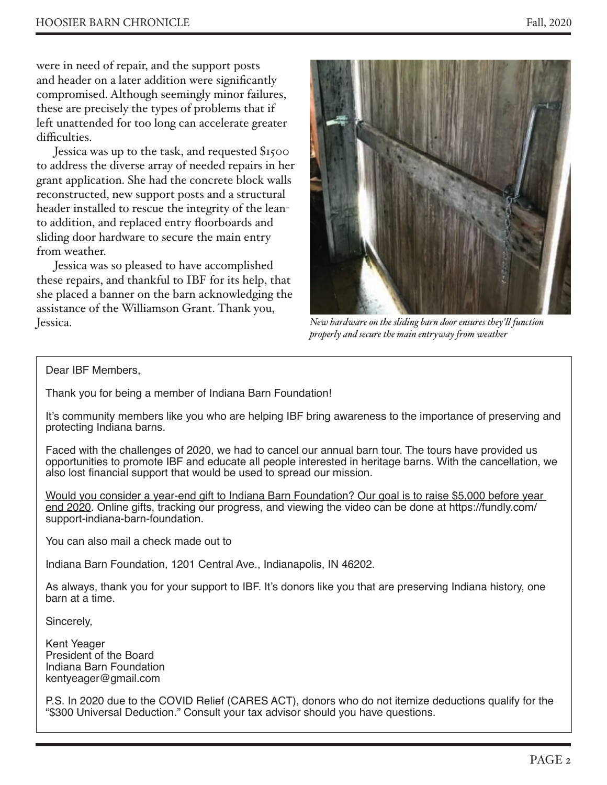were in need of repair, and the support posts and header on a later addition were significantly compromised. Although seemingly minor failures, these are precisely the types of problems that if left unattended for too long can accelerate greater difficulties.

Jessica was up to the task, and requested \$1500 to address the diverse array of needed repairs in her grant application. She had the concrete block walls reconstructed, new support posts and a structural header installed to rescue the integrity of the leanto addition, and replaced entry floorboards and sliding door hardware to secure the main entry from weather.

Jessica was so pleased to have accomplished these repairs, and thankful to IBF for its help, that she placed a banner on the barn acknowledging the assistance of the Williamson Grant. Thank you, Jessica. *New hardware on the sliding barn door ensures they'll function* 



*properly and secure the main entryway from weather*

Dear IBF Members,

Thank you for being a member of Indiana Barn Foundation!

It's community members like you who are helping IBF bring awareness to the importance of preserving and protecting Indiana barns.

Faced with the challenges of 2020, we had to cancel our annual barn tour. The tours have provided us opportunities to promote IBF and educate all people interested in heritage barns. With the cancellation, we also lost financial support that would be used to spread our mission.

Would you consider a year-end gift to Indiana Barn Foundation? Our goal is to raise \$5,000 before year end 2020. Online gifts, tracking our progress, and viewing the video can be done at https://fundly.com/ support-indiana-barn-foundation.

You can also mail a check made out to

Indiana Barn Foundation, 1201 Central Ave., Indianapolis, IN 46202.

As always, thank you for your support to IBF. It's donors like you that are preserving Indiana history, one barn at a time.

Sincerely,

Kent Yeager President of the Board Indiana Barn Foundation kentyeager@gmail.com

P.S. In 2020 due to the COVID Relief (CARES ACT), donors who do not itemize deductions qualify for the "\$300 Universal Deduction." Consult your tax advisor should you have questions.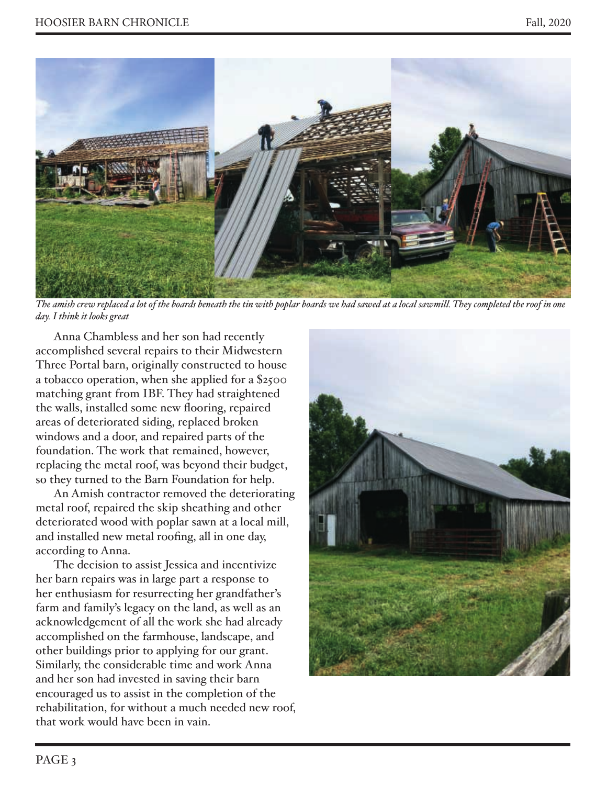

*The amish crew replaced a lot of the boards beneath the tin with poplar boards we had sawed at a local sawmill. They completed the roof in one day. I think it looks great*

Anna Chambless and her son had recently accomplished several repairs to their Midwestern Three Portal barn, originally constructed to house a tobacco operation, when she applied for a \$2500 matching grant from IBF. They had straightened the walls, installed some new flooring, repaired areas of deteriorated siding, replaced broken windows and a door, and repaired parts of the foundation. The work that remained, however, replacing the metal roof, was beyond their budget, so they turned to the Barn Foundation for help.

An Amish contractor removed the deteriorating metal roof, repaired the skip sheathing and other deteriorated wood with poplar sawn at a local mill, and installed new metal roofing, all in one day, according to Anna.

The decision to assist Jessica and incentivize her barn repairs was in large part a response to her enthusiasm for resurrecting her grandfather's farm and family's legacy on the land, as well as an acknowledgement of all the work she had already accomplished on the farmhouse, landscape, and other buildings prior to applying for our grant. Similarly, the considerable time and work Anna and her son had invested in saving their barn encouraged us to assist in the completion of the rehabilitation, for without a much needed new roof, that work would have been in vain.

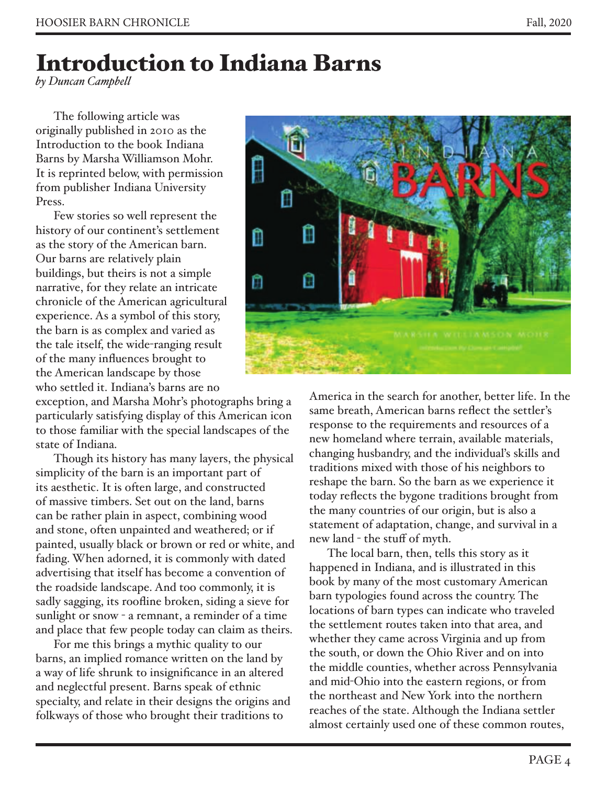## Introduction to Indiana Barns

*by Duncan Campbell*

The following article was originally published in 2010 as the Introduction to the book Indiana Barns by Marsha Williamson Mohr. It is reprinted below, with permission from publisher Indiana University Press.

Few stories so well represent the history of our continent's settlement as the story of the American barn. Our barns are relatively plain buildings, but theirs is not a simple narrative, for they relate an intricate chronicle of the American agricultural experience. As a symbol of this story, the barn is as complex and varied as the tale itself, the wide-ranging result of the many influences brought to the American landscape by those who settled it. Indiana's barns are no

exception, and Marsha Mohr's photographs bring a particularly satisfying display of this American icon to those familiar with the special landscapes of the state of Indiana.

Though its history has many layers, the physical simplicity of the barn is an important part of its aesthetic. It is often large, and constructed of massive timbers. Set out on the land, barns can be rather plain in aspect, combining wood and stone, often unpainted and weathered; or if painted, usually black or brown or red or white, and fading. When adorned, it is commonly with dated advertising that itself has become a convention of the roadside landscape. And too commonly, it is sadly sagging, its roofline broken, siding a sieve for sunlight or snow - a remnant, a reminder of a time and place that few people today can claim as theirs.

For me this brings a mythic quality to our barns, an implied romance written on the land by a way of life shrunk to insignificance in an altered and neglectful present. Barns speak of ethnic specialty, and relate in their designs the origins and folkways of those who brought their traditions to



America in the search for another, better life. In the same breath, American barns reflect the settler's response to the requirements and resources of a new homeland where terrain, available materials, changing husbandry, and the individual's skills and traditions mixed with those of his neighbors to reshape the barn. So the barn as we experience it today reflects the bygone traditions brought from the many countries of our origin, but is also a statement of adaptation, change, and survival in a new land - the stuff of myth.

The local barn, then, tells this story as it happened in Indiana, and is illustrated in this book by many of the most customary American barn typologies found across the country. The locations of barn types can indicate who traveled the settlement routes taken into that area, and whether they came across Virginia and up from the south, or down the Ohio River and on into the middle counties, whether across Pennsylvania and mid-Ohio into the eastern regions, or from the northeast and New York into the northern reaches of the state. Although the Indiana settler almost certainly used one of these common routes,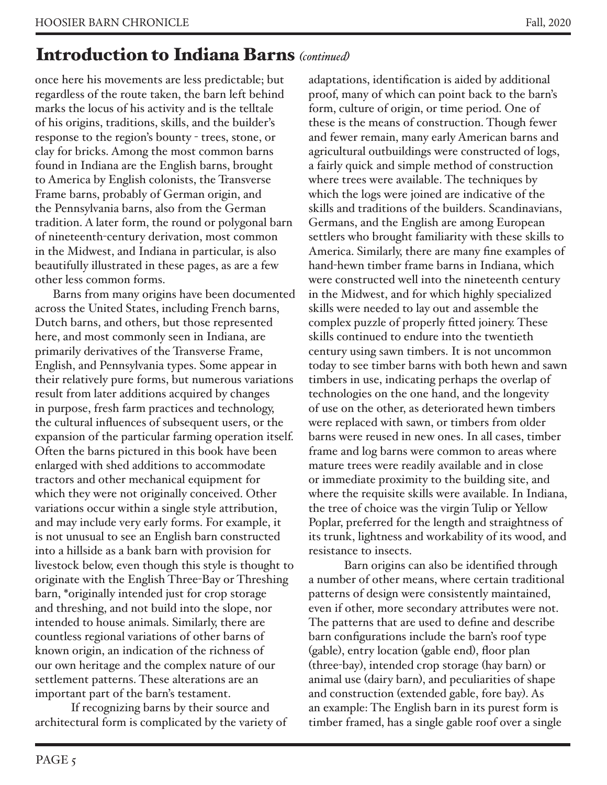## Introduction to Indiana Barns *(continued)*

once here his movements are less predictable; but regardless of the route taken, the barn left behind marks the locus of his activity and is the telltale of his origins, traditions, skills, and the builder's response to the region's bounty - trees, stone, or clay for bricks. Among the most common barns found in Indiana are the English barns, brought to America by English colonists, the Transverse Frame barns, probably of German origin, and the Pennsylvania barns, also from the German tradition. A later form, the round or polygonal barn of nineteenth-century derivation, most common in the Midwest, and Indiana in particular, is also beautifully illustrated in these pages, as are a few other less common forms.

Barns from many origins have been documented across the United States, including French barns, Dutch barns, and others, but those represented here, and most commonly seen in Indiana, are primarily derivatives of the Transverse Frame, English, and Pennsylvania types. Some appear in their relatively pure forms, but numerous variations result from later additions acquired by changes in purpose, fresh farm practices and technology, the cultural influences of subsequent users, or the expansion of the particular farming operation itself. Often the barns pictured in this book have been enlarged with shed additions to accommodate tractors and other mechanical equipment for which they were not originally conceived. Other variations occur within a single style attribution, and may include very early forms. For example, it is not unusual to see an English barn constructed into a hillside as a bank barn with provision for livestock below, even though this style is thought to originate with the English Three-Bay or Threshing barn, \*originally intended just for crop storage and threshing, and not build into the slope, nor intended to house animals. Similarly, there are countless regional variations of other barns of known origin, an indication of the richness of our own heritage and the complex nature of our settlement patterns. These alterations are an important part of the barn's testament.

If recognizing barns by their source and architectural form is complicated by the variety of

adaptations, identification is aided by additional proof, many of which can point back to the barn's form, culture of origin, or time period. One of these is the means of construction. Though fewer and fewer remain, many early American barns and agricultural outbuildings were constructed of logs, a fairly quick and simple method of construction where trees were available. The techniques by which the logs were joined are indicative of the skills and traditions of the builders. Scandinavians, Germans, and the English are among European settlers who brought familiarity with these skills to America. Similarly, there are many fine examples of hand-hewn timber frame barns in Indiana, which were constructed well into the nineteenth century in the Midwest, and for which highly specialized skills were needed to lay out and assemble the complex puzzle of properly fitted joinery. These skills continued to endure into the twentieth century using sawn timbers. It is not uncommon today to see timber barns with both hewn and sawn timbers in use, indicating perhaps the overlap of technologies on the one hand, and the longevity of use on the other, as deteriorated hewn timbers were replaced with sawn, or timbers from older barns were reused in new ones. In all cases, timber frame and log barns were common to areas where mature trees were readily available and in close or immediate proximity to the building site, and where the requisite skills were available. In Indiana, the tree of choice was the virgin Tulip or Yellow Poplar, preferred for the length and straightness of its trunk, lightness and workability of its wood, and resistance to insects.

Barn origins can also be identified through a number of other means, where certain traditional patterns of design were consistently maintained, even if other, more secondary attributes were not. The patterns that are used to define and describe barn configurations include the barn's roof type (gable), entry location (gable end), floor plan (three-bay), intended crop storage (hay barn) or animal use (dairy barn), and peculiarities of shape and construction (extended gable, fore bay). As an example: The English barn in its purest form is timber framed, has a single gable roof over a single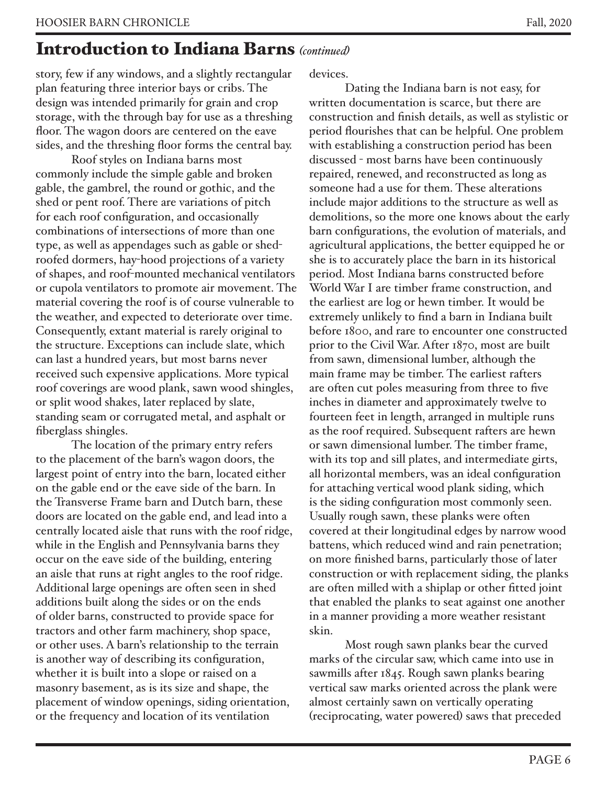## Introduction to Indiana Barns *(continued)*

story, few if any windows, and a slightly rectangular plan featuring three interior bays or cribs. The design was intended primarily for grain and crop storage, with the through bay for use as a threshing floor. The wagon doors are centered on the eave sides, and the threshing floor forms the central bay.

Roof styles on Indiana barns most commonly include the simple gable and broken gable, the gambrel, the round or gothic, and the shed or pent roof. There are variations of pitch for each roof configuration, and occasionally combinations of intersections of more than one type, as well as appendages such as gable or shedroofed dormers, hay-hood projections of a variety of shapes, and roof-mounted mechanical ventilators or cupola ventilators to promote air movement. The material covering the roof is of course vulnerable to the weather, and expected to deteriorate over time. Consequently, extant material is rarely original to the structure. Exceptions can include slate, which can last a hundred years, but most barns never received such expensive applications. More typical roof coverings are wood plank, sawn wood shingles, or split wood shakes, later replaced by slate, standing seam or corrugated metal, and asphalt or fiberglass shingles.

The location of the primary entry refers to the placement of the barn's wagon doors, the largest point of entry into the barn, located either on the gable end or the eave side of the barn. In the Transverse Frame barn and Dutch barn, these doors are located on the gable end, and lead into a centrally located aisle that runs with the roof ridge, while in the English and Pennsylvania barns they occur on the eave side of the building, entering an aisle that runs at right angles to the roof ridge. Additional large openings are often seen in shed additions built along the sides or on the ends of older barns, constructed to provide space for tractors and other farm machinery, shop space, or other uses. A barn's relationship to the terrain is another way of describing its configuration, whether it is built into a slope or raised on a masonry basement, as is its size and shape, the placement of window openings, siding orientation, or the frequency and location of its ventilation

devices.

Dating the Indiana barn is not easy, for written documentation is scarce, but there are construction and finish details, as well as stylistic or period flourishes that can be helpful. One problem with establishing a construction period has been discussed - most barns have been continuously repaired, renewed, and reconstructed as long as someone had a use for them. These alterations include major additions to the structure as well as demolitions, so the more one knows about the early barn configurations, the evolution of materials, and agricultural applications, the better equipped he or she is to accurately place the barn in its historical period. Most Indiana barns constructed before World War I are timber frame construction, and the earliest are log or hewn timber. It would be extremely unlikely to find a barn in Indiana built before 1800, and rare to encounter one constructed prior to the Civil War. After 1870, most are built from sawn, dimensional lumber, although the main frame may be timber. The earliest rafters are often cut poles measuring from three to five inches in diameter and approximately twelve to fourteen feet in length, arranged in multiple runs as the roof required. Subsequent rafters are hewn or sawn dimensional lumber. The timber frame, with its top and sill plates, and intermediate girts, all horizontal members, was an ideal configuration for attaching vertical wood plank siding, which is the siding configuration most commonly seen. Usually rough sawn, these planks were often covered at their longitudinal edges by narrow wood battens, which reduced wind and rain penetration; on more finished barns, particularly those of later construction or with replacement siding, the planks are often milled with a shiplap or other fitted joint that enabled the planks to seat against one another in a manner providing a more weather resistant skin.

Most rough sawn planks bear the curved marks of the circular saw, which came into use in sawmills after 1845. Rough sawn planks bearing vertical saw marks oriented across the plank were almost certainly sawn on vertically operating (reciprocating, water powered) saws that preceded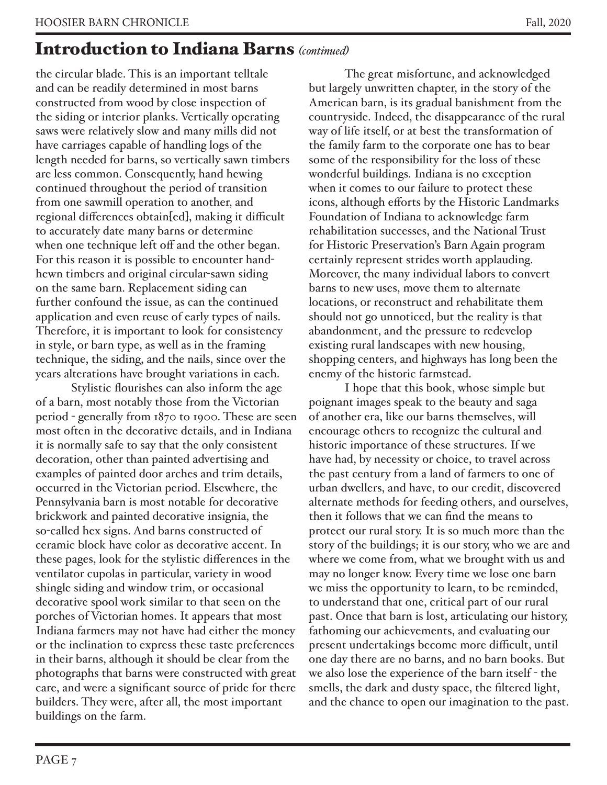the circular blade. This is an important telltale and can be readily determined in most barns constructed from wood by close inspection of the siding or interior planks. Vertically operating saws were relatively slow and many mills did not have carriages capable of handling logs of the length needed for barns, so vertically sawn timbers are less common. Consequently, hand hewing continued throughout the period of transition from one sawmill operation to another, and regional differences obtain[ed], making it difficult to accurately date many barns or determine when one technique left off and the other began. For this reason it is possible to encounter handhewn timbers and original circular-sawn siding on the same barn. Replacement siding can further confound the issue, as can the continued application and even reuse of early types of nails. Therefore, it is important to look for consistency in style, or barn type, as well as in the framing technique, the siding, and the nails, since over the years alterations have brought variations in each.

Stylistic flourishes can also inform the age of a barn, most notably those from the Victorian period - generally from 1870 to 1900. These are seen most often in the decorative details, and in Indiana it is normally safe to say that the only consistent decoration, other than painted advertising and examples of painted door arches and trim details, occurred in the Victorian period. Elsewhere, the Pennsylvania barn is most notable for decorative brickwork and painted decorative insignia, the so-called hex signs. And barns constructed of ceramic block have color as decorative accent. In these pages, look for the stylistic differences in the ventilator cupolas in particular, variety in wood shingle siding and window trim, or occasional decorative spool work similar to that seen on the porches of Victorian homes. It appears that most Indiana farmers may not have had either the money or the inclination to express these taste preferences in their barns, although it should be clear from the photographs that barns were constructed with great care, and were a significant source of pride for there builders. They were, after all, the most important buildings on the farm.

The great misfortune, and acknowledged but largely unwritten chapter, in the story of the American barn, is its gradual banishment from the countryside. Indeed, the disappearance of the rural way of life itself, or at best the transformation of the family farm to the corporate one has to bear some of the responsibility for the loss of these wonderful buildings. Indiana is no exception when it comes to our failure to protect these icons, although efforts by the Historic Landmarks Foundation of Indiana to acknowledge farm rehabilitation successes, and the National Trust for Historic Preservation's Barn Again program certainly represent strides worth applauding. Moreover, the many individual labors to convert barns to new uses, move them to alternate locations, or reconstruct and rehabilitate them should not go unnoticed, but the reality is that abandonment, and the pressure to redevelop existing rural landscapes with new housing, shopping centers, and highways has long been the enemy of the historic farmstead.

I hope that this book, whose simple but poignant images speak to the beauty and saga of another era, like our barns themselves, will encourage others to recognize the cultural and historic importance of these structures. If we have had, by necessity or choice, to travel across the past century from a land of farmers to one of urban dwellers, and have, to our credit, discovered alternate methods for feeding others, and ourselves, then it follows that we can find the means to protect our rural story. It is so much more than the story of the buildings; it is our story, who we are and where we come from, what we brought with us and may no longer know. Every time we lose one barn we miss the opportunity to learn, to be reminded, to understand that one, critical part of our rural past. Once that barn is lost, articulating our history, fathoming our achievements, and evaluating our present undertakings become more difficult, until one day there are no barns, and no barn books. But we also lose the experience of the barn itself - the smells, the dark and dusty space, the filtered light, and the chance to open our imagination to the past.